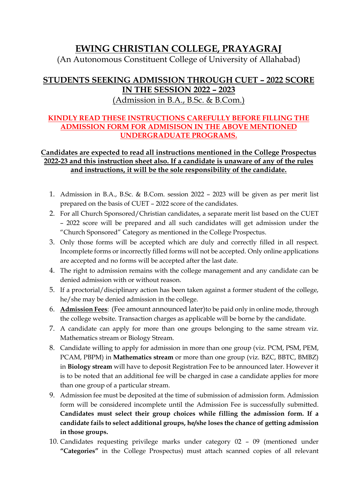## **EWING CHRISTIAN COLLEGE, PRAYAGRAJ**

(An Autonomous Constituent College of University of Allahabad)

## **STUDENTS SEEKING ADMISSION THROUGH CUET – 2022 SCORE IN THE SESSION 2022 – 2023** (Admission in B.A., B.Sc. & B.Com.)

## **KINDLY READ THESE INSTRUCTIONS CAREFULLY BEFORE FILLING THE ADMISSION FORM FOR ADMISISON IN THE ABOVE MENTIONED UNDERGRADUATE PROGRAMS.**

## **Candidates are expected to read all instructions mentioned in the College Prospectus 2022-23 and this instruction sheet also. If a candidate is unaware of any of the rules and instructions, it will be the sole responsibility of the candidate.**

- 1. Admission in B.A., B.Sc. & B.Com. session 2022 2023 will be given as per merit list prepared on the basis of CUET – 2022 score of the candidates.
- 2. For all Church Sponsored/Christian candidates, a separate merit list based on the CUET – 2022 score will be prepared and all such candidates will get admission under the "Church Sponsored" Category as mentioned in the College Prospectus.
- 3. Only those forms will be accepted which are duly and correctly filled in all respect. Incomplete forms or incorrectly filled forms will not be accepted. Only online applications are accepted and no forms will be accepted after the last date.
- 4. The right to admission remains with the college management and any candidate can be denied admission with or without reason.
- 5. If a proctorial/disciplinary action has been taken against a former student of the college, he/she may be denied admission in the college.
- 6. **Admission Fees**: (Fee amount announced later)to be paid only in online mode, through the college website. Transaction charges as applicable will be borne by the candidate.
- 7. A candidate can apply for more than one groups belonging to the same stream viz. Mathematics stream or Biology Stream.
- 8. Candidate willing to apply for admission in more than one group (viz. PCM, PSM, PEM, PCAM, PBPM) in **Mathematics stream** or more than one group (viz. BZC, BBTC, BMBZ) in **Biology stream** will have to deposit Registration Fee to be announced later. However it is to be noted that an additional fee will be charged in case a candidate applies for more than one group of a particular stream.
- 9. Admission fee must be deposited at the time of submission of admission form. Admission form will be considered incomplete until the Admission Fee is successfully submitted. **Candidates must select their group choices while filling the admission form. If a candidate fails to select additional groups, he/she loses the chance of getting admission in those groups.**
- 10. Candidates requesting privilege marks under category 02 09 (mentioned under **"Categories"** in the College Prospectus) must attach scanned copies of all relevant